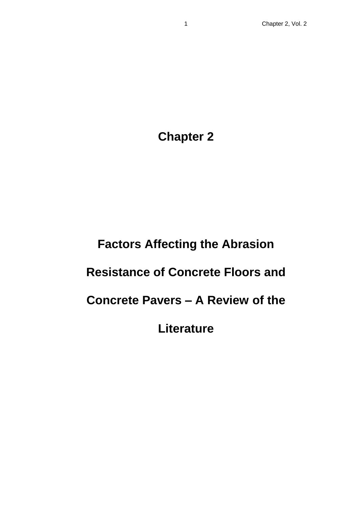**Chapter 2**

# **Factors Affecting the Abrasion**

# **Resistance of Concrete Floors and**

**Concrete Pavers – A Review of the** 

**Literature**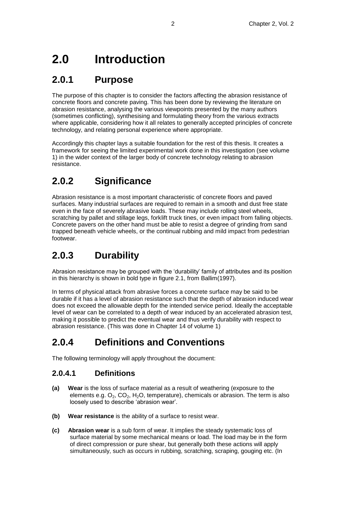# **2.0 Introduction**

### **2.0.1 Purpose**

The purpose of this chapter is to consider the factors affecting the abrasion resistance of concrete floors and concrete paving. This has been done by reviewing the literature on abrasion resistance, analysing the various viewpoints presented by the many authors (sometimes conflicting), synthesising and formulating theory from the various extracts where applicable, considering how it all relates to generally accepted principles of concrete technology, and relating personal experience where appropriate.

Accordingly this chapter lays a suitable foundation for the rest of this thesis. It creates a framework for seeing the limited experimental work done in this investigation (see volume 1) in the wider context of the larger body of concrete technology relating to abrasion resistance.

## **2.0.2 Significance**

Abrasion resistance is a most important characteristic of concrete floors and paved surfaces. Many industrial surfaces are required to remain in a smooth and dust free state even in the face of severely abrasive loads. These may include rolling steel wheels, scratching by pallet and stillage legs, forklift truck tines, or even impact from falling objects. Concrete pavers on the other hand must be able to resist a degree of grinding from sand trapped beneath vehicle wheels, or the continual rubbing and mild impact from pedestrian footwear.

## **2.0.3 Durability**

Abrasion resistance may be grouped with the 'durability' family of attributes and its position in this hierarchy is shown in bold type in figure 2.1, from Ballim(1997).

In terms of physical attack from abrasive forces a concrete surface may be said to be durable if it has a level of abrasion resistance such that the depth of abrasion induced wear does not exceed the allowable depth for the intended service period. Ideally the acceptable level of wear can be correlated to a depth of wear induced by an accelerated abrasion test, making it possible to predict the eventual wear and thus verify durability with respect to abrasion resistance. (This was done in Chapter 14 of volume 1)

## **2.0.4 Definitions and Conventions**

The following terminology will apply throughout the document:

#### **2.0.4.1 Definitions**

- **(a) Wear** is the loss of surface material as a result of weathering (exposure to the elements e.g.  $O_2$ ,  $CO_2$ ,  $H_2O$ , temperature), chemicals or abrasion. The term is also loosely used to describe 'abrasion wear'.
- **(b) Wear resistance** is the ability of a surface to resist wear.
- **(c) Abrasion wear** is a sub form of wear. It implies the steady systematic loss of surface material by some mechanical means or load. The load may be in the form of direct compression or pure shear, but generally both these actions will apply simultaneously, such as occurs in rubbing, scratching, scraping, gouging etc. (In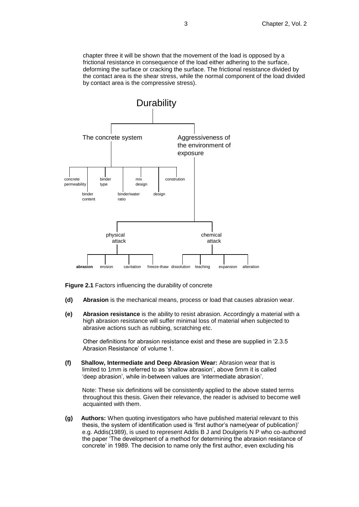chapter three it will be shown that the movement of the load is opposed by a frictional resistance in consequence of the load either adhering to the surface, deforming the surface or cracking the surface. The frictional resistance divided by the contact area is the shear stress, while the normal component of the load divided by contact area is the compressive stress).



**Figure 2.1** Factors influencing the durability of concrete

- **(d) Abrasion** is the mechanical means, process or load that causes abrasion wear.
- **(e) Abrasion resistance** is the ability to resist abrasion. Accordingly a material with a high abrasion resistance will suffer minimal loss of material when subjected to abrasive actions such as rubbing, scratching etc.

Other definitions for abrasion resistance exist and these are supplied in '2.3.5 Abrasion Resistance' of volume 1.

**(f) Shallow, Intermediate and Deep Abrasion Wear:** Abrasion wear that is limited to 1mm is referred to as 'shallow abrasion', above 5mm it is called 'deep abrasion', while in-between values are 'intermediate abrasion'.

Note: These six definitions will be consistently applied to the above stated terms throughout this thesis. Given their relevance, the reader is advised to become well acquainted with them.

**(g) Authors:** When quoting investigators who have published material relevant to this thesis, the system of identification used is 'first author's name(year of publication)' e.g. Addis(1989), is used to represent Addis B J and Doulgeris N P who co-authored the paper 'The development of a method for determining the abrasion resistance of concrete' in 1989. The decision to name only the first author, even excluding his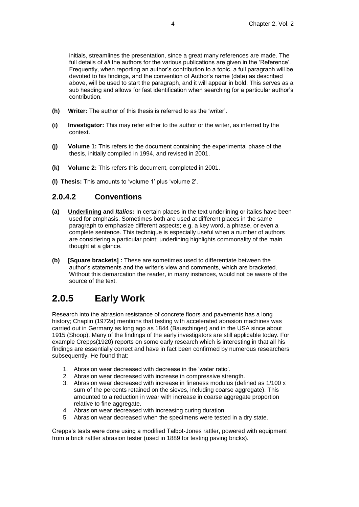initials, streamlines the presentation, since a great many references are made. The full details of *all* the authors for the various publications are given in the 'Reference'. Frequently, when reporting an author's contribution to a topic, a full paragraph will be devoted to his findings, and the convention of Author's name (date) as described above, will be used to start the paragraph, and it will appear in bold. This serves as a sub heading and allows for fast identification when searching for a particular author's contribution.

- **(h) Writer:** The author of this thesis is referred to as the 'writer'.
- **(i) Investigator:** This may refer either to the author or the writer, as inferred by the context.
- **(j) Volume 1:** This refers to the document containing the experimental phase of the thesis, initially compiled in 1994, and revised in 2001.
- **(k) Volume 2:** This refers this document, completed in 2001.
- **(l) Thesis:** This amounts to 'volume 1' plus 'volume 2'.

#### **2.0.4.2 Conventions**

- **(a) Underlining and** *Italics:* In certain places in the text underlining or italics have been used for emphasis. Sometimes both are used at different places in the same paragraph to emphasize different aspects; e.g. a key word, a phrase, or even a complete sentence. This technique is especially useful when a number of authors are considering a particular point; underlining highlights commonality of the main thought at a glance.
- **(b) [Square brackets] :** These are sometimes used to differentiate between the author's statements and the writer's view and comments, which are bracketed. Without this demarcation the reader, in many instances, would not be aware of the source of the text.

## **2.0.5 Early Work**

Research into the abrasion resistance of concrete floors and pavements has a long history; Chaplin (1972a) mentions that testing with accelerated abrasion machines was carried out in Germany as long ago as 1844 (Bauschinger) and in the USA since about 1915 (Shoop). Many of the findings of the early investigators are still applicable today. For example Crepps(1920) reports on some early research which is interesting in that all his findings are essentially correct and have in fact been confirmed by numerous researchers subsequently. He found that:

- 1. Abrasion wear decreased with decrease in the 'water ratio'.
- 2. Abrasion wear decreased with increase in compressive strength.
- 3. Abrasion wear decreased with increase in fineness modulus (defined as 1/100 x sum of the percents retained on the sieves, including coarse aggregate). This amounted to a reduction in wear with increase in coarse aggregate proportion relative to fine aggregate.
- 4. Abrasion wear decreased with increasing curing duration
- 5. Abrasion wear decreased when the specimens were tested in a dry state.

Crepps's tests were done using a modified Talbot-Jones rattler, powered with equipment from a brick rattler abrasion tester (used in 1889 for testing paving bricks).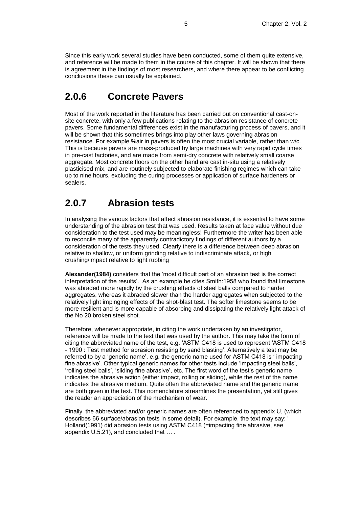Since this early work several studies have been conducted, some of them quite extensive, and reference will be made to them in the course of this chapter. It will be shown that there is agreement in the findings of most researchers, and where there appear to be conflicting conclusions these can usually be explained.

### **2.0.6 Concrete Pavers**

Most of the work reported in the literature has been carried out on conventional cast-onsite concrete, with only a few publications relating to the abrasion resistance of concrete pavers. Some fundamental differences exist in the manufacturing process of pavers, and it will be shown that this sometimes brings into play other laws governing abrasion resistance. For example %air in pavers is often the most crucial variable, rather than w/c. This is because pavers are mass-produced by large machines with very rapid cycle times in pre-cast factories, and are made from semi-dry concrete with relatively small coarse aggregate. Most concrete floors on the other hand are cast in-situ using a relatively plasticised mix, and are routinely subjected to elaborate finishing regimes which can take up to nine hours, excluding the curing processes or application of surface hardeners or sealers.

### **2.0.7 Abrasion tests**

In analysing the various factors that affect abrasion resistance, it is essential to have some understanding of the abrasion test that was used. Results taken at face value without due consideration to the test used may be meaningless! Furthermore the writer has been able to reconcile many of the apparently contradictory findings of different authors by a consideration of the tests they used. Clearly there is a difference between deep abrasion relative to shallow, or uniform grinding relative to indiscriminate attack, or high crushing/impact relative to light rubbing

**Alexander(1984)** considers that the 'most difficult part of an abrasion test is the correct interpretation of the results'. As an example he cites Smith:1958 who found that limestone was abraded more rapidly by the crushing effects of steel balls compared to harder aggregates, whereas it abraded slower than the harder aggregates when subjected to the relatively light impinging effects of the shot-blast test. The softer limestone seems to be more resilient and is more capable of absorbing and dissipating the relatively light attack of the No 20 broken steel shot.

Therefore, whenever appropriate, in citing the work undertaken by an investigator, reference will be made to the test that was used by the author. This may take the form of citing the abbreviated name of the test, e.g. 'ASTM C418 is used to represent 'ASTM C418 - 1990 : Test method for abrasion resisting by sand blasting'. Alternatively a test may be referred to by a 'generic name', e.g. the generic name used for ASTM C418 is ' impacting fine abrasive'. Other typical generic names for other tests include 'impacting steel balls', 'rolling steel balls', 'sliding fine abrasive', etc. The first word of the test's generic name indicates the abrasive action (either impact, rolling or sliding), while the rest of the name indicates the abrasive medium. Quite often the abbreviated name and the generic name are both given in the text. This nomenclature streamlines the presentation, yet still gives the reader an appreciation of the mechanism of wear.

Finally, the abbreviated and/or generic names are often referenced to appendix U, (which describes 66 surface/abrasion tests in some detail). For example, the text may say: ' Holland(1991) did abrasion tests using ASTM C418 (=impacting fine abrasive, see appendix U.5.21), and concluded that …'.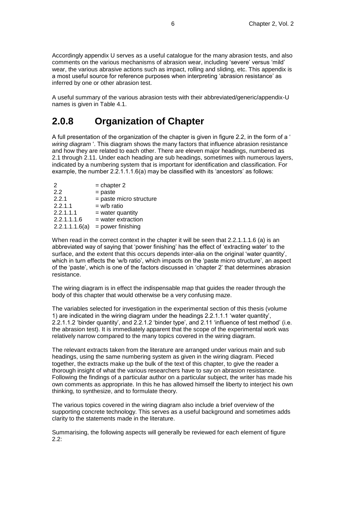Accordingly appendix U serves as a useful catalogue for the many abrasion tests, and also comments on the various mechanisms of abrasion wear, including 'severe' versus 'mild' wear, the various abrasive actions such as impact, rolling and sliding, etc. This appendix is a most useful source for reference purposes when interpreting 'abrasion resistance' as inferred by one or other abrasion test.

A useful summary of the various abrasion tests with their abbreviated/generic/appendix-U names is given in Table 4.1.

### **2.0.8 Organization of Chapter**

A full presentation of the organization of the chapter is given in figure 2.2, in the form of a ' *wiring diagram* '. This diagram shows the many factors that influence abrasion resistance and how they are related to each other. There are eleven major headings, numbered as 2.1 through 2.11. Under each heading are sub headings, sometimes with numerous layers, indicated by a numbering system that is important for identification and classification. For example, the number 2.2.1.1.1.6(a) may be classified with its 'ancestors' as follows:

| $=$ chapter 2           |
|-------------------------|
| $=$ paste               |
| = paste micro structure |
| $= w/b$ ratio           |
| $=$ water quantity      |
| $=$ water extraction    |
| = power finishing       |
|                         |

When read in the correct context in the chapter it will be seen that 2.2.1.1.1.6 (a) is an abbreviated way of saying that 'power finishing' has the effect of 'extracting water' to the surface, and the extent that this occurs depends inter-alia on the original 'water quantity', which in turn effects the 'w/b ratio', which impacts on the 'paste micro structure', an aspect of the 'paste', which is one of the factors discussed in 'chapter 2' that determines abrasion resistance.

The wiring diagram is in effect the indispensable map that guides the reader through the body of this chapter that would otherwise be a very confusing maze.

The variables selected for investigation in the experimental section of this thesis (volume 1) are indicated in the wiring diagram under the headings 2.2.1.1.1 'water quantity', 2.2.1.1.2 'binder quantity', and 2.2.1.2 'binder type', and 2.11 'influence of test method' (i.e. the abrasion test). It is immediately apparent that the scope of the experimental work was relatively narrow compared to the many topics covered in the wiring diagram.

The relevant extracts taken from the literature are arranged under various main and sub headings, using the same numbering system as given in the wiring diagram. Pieced together, the extracts make up the bulk of the text of this chapter, to give the reader a thorough insight of what the various researchers have to say on abrasion resistance. Following the findings of a particular author on a particular subject, the writer has made his own comments as appropriate. In this he has allowed himself the liberty to interject his own thinking, to synthesize, and to formulate theory.

The various topics covered in the wiring diagram also include a brief overview of the supporting concrete technology. This serves as a useful background and sometimes adds clarity to the statements made in the literature.

Summarising, the following aspects will generally be reviewed for each element of figure 2.2: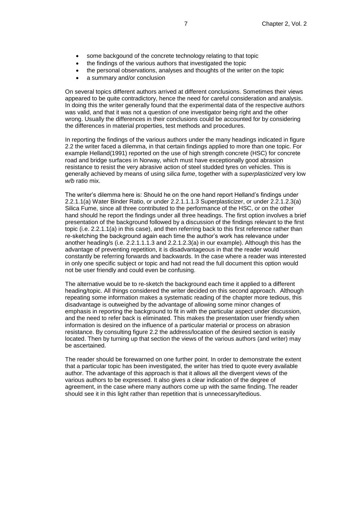- some backgound of the concrete technology relating to that topic
- the findings of the various authors that investigated the topic
- the personal observations, analyses and thoughts of the writer on the topic
- a summary and/or conclusion

On several topics different authors arrived at different conclusions. Sometimes their views appeared to be quite contradictory, hence the need for careful consideration and analysis. In doing this the writer generally found that the experimental data of the respective authors was valid, and that it was not a question of one investigator being right and the other wrong. Usually the differences in their conclusions could be accounted for by considering the differences in material properties, test methods and procedures.

In reporting the findings of the various authors under the many headings indicated in figure 2.2 the writer faced a dilemma, in that certain findings applied to more than one topic. For example Helland(1991) reported on the use of high strength concrete (HSC) for concrete road and bridge surfaces in Norway, which must have exceptionally good abrasion resistance to resist the very abrasive action of steel studded tyres on vehicles. This is generally achieved by means of using *silica fume*, together with a *superplasticized* very low *w/b* ratio mix.

The writer's dilemma here is: Should he on the one hand report Helland's findings under 2.2.1.1(a) Water Binder Ratio, or under 2.2.1.1.1.3 Superplasticizer, or under 2.2.1.2.3(a) Silica Fume, since all three contributed to the performance of the HSC, or on the other hand should he report the findings under all three headings. The first option involves a brief presentation of the background followed by a discussion of the findings relevant to the first topic (i.e. 2.2.1.1(a) in this case), and then referring back to this first reference rather than re-sketching the background again each time the author's work has relevance under another heading/s (i.e. 2.2.1.1.1.3 and 2.2.1.2.3(a) in our example). Although this has the advantage of preventing repetition, it is disadvantageous in that the reader would constantly be referring forwards and backwards. In the case where a reader was interested in only one specific subject or topic and had not read the full document this option would not be user friendly and could even be confusing.

The alternative would be to re-sketch the background each time it applied to a different heading/topic. All things considered the writer decided on this second approach. Although repeating some information makes a systematic reading of the chapter more tedious, this disadvantage is outweighed by the advantage of allowing some minor changes of emphasis in reporting the background to fit in with the particular aspect under discussion, and the need to refer back is eliminated. This makes the presentation user friendly when information is desired on the influence of a particular material or process on abrasion resistance. By consulting figure 2.2 the address/location of the desired section is easily located. Then by turning up that section the views of the various authors (and writer) may be ascertained.

The reader should be forewarned on one further point. In order to demonstrate the extent that a particular topic has been investigated, the writer has tried to quote every available author. The advantage of this approach is that it allows all the divergent views of the various authors to be expressed. It also gives a clear indication of the degree of agreement, in the case where many authors come up with the same finding. The reader should see it in this light rather than repetition that is unnecessary/tedious.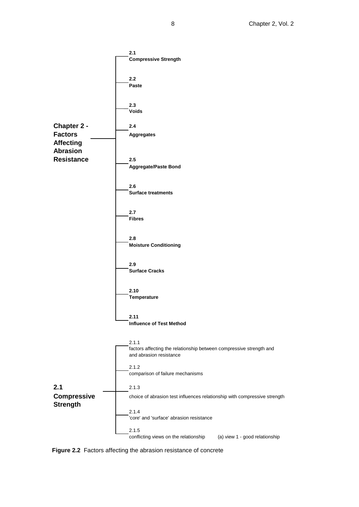

**Figure 2.2** Factors affecting the abrasion resistance of concrete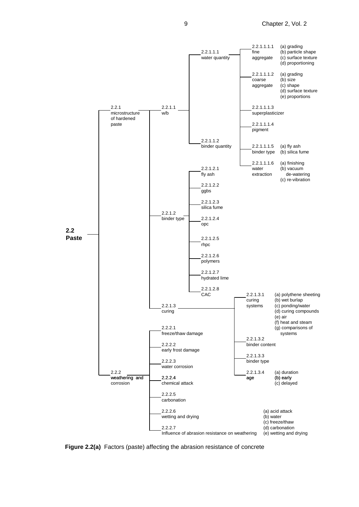9 Chapter 2, Vol. 2



**Figure 2.2(a)** Factors (paste) affecting the abrasion resistance of concrete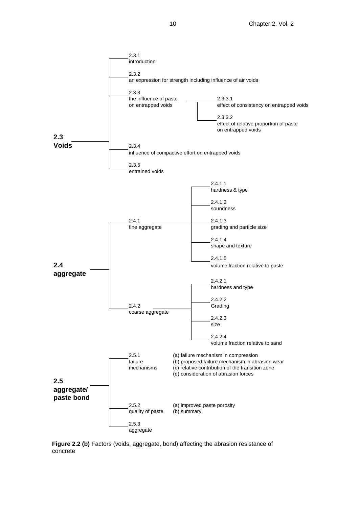

Figure 2.2 (b) Factors (voids, aggregate, bond) affecting the abrasion resistance of concrete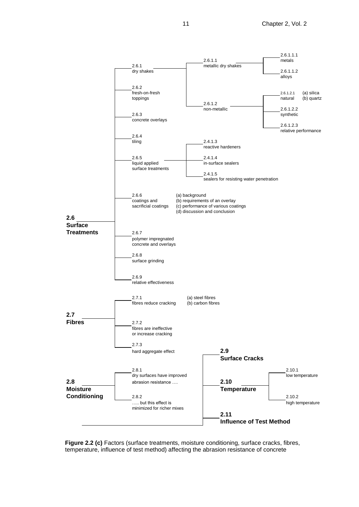

**Figure 2.2 (c)** Factors (surface treatments, moisture conditioning, surface cracks, fibres, temperature, influence of test method) affecting the abrasion resistance of concrete